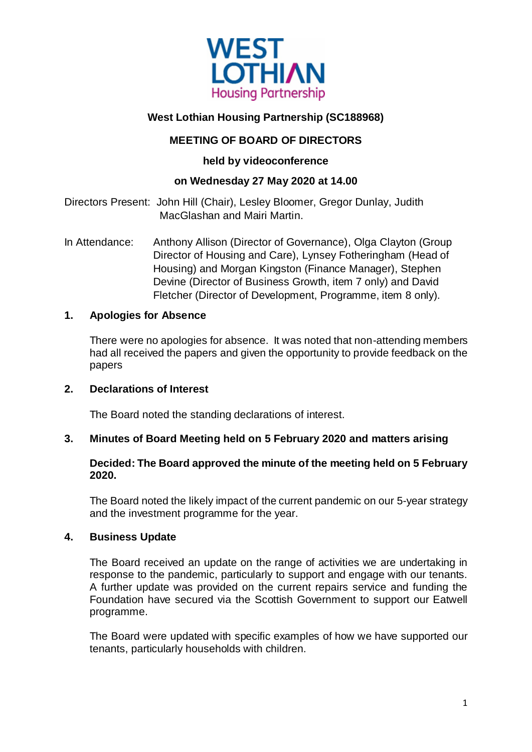

## **West Lothian Housing Partnership (SC188968)**

## **MEETING OF BOARD OF DIRECTORS**

## **held by videoconference**

## **on Wednesday 27 May 2020 at 14.00**

Directors Present: John Hill (Chair), Lesley Bloomer, Gregor Dunlay, Judith MacGlashan and Mairi Martin.

In Attendance: Anthony Allison (Director of Governance), Olga Clayton (Group Director of Housing and Care), Lynsey Fotheringham (Head of Housing) and Morgan Kingston (Finance Manager), Stephen Devine (Director of Business Growth, item 7 only) and David Fletcher (Director of Development, Programme, item 8 only).

#### **1. Apologies for Absence**

There were no apologies for absence. It was noted that non-attending members had all received the papers and given the opportunity to provide feedback on the papers

#### **2. Declarations of Interest**

The Board noted the standing declarations of interest.

#### **3. Minutes of Board Meeting held on 5 February 2020 and matters arising**

## **Decided: The Board approved the minute of the meeting held on 5 February 2020.**

The Board noted the likely impact of the current pandemic on our 5-year strategy and the investment programme for the year.

#### **4. Business Update**

The Board received an update on the range of activities we are undertaking in response to the pandemic, particularly to support and engage with our tenants. A further update was provided on the current repairs service and funding the Foundation have secured via the Scottish Government to support our Eatwell programme.

The Board were updated with specific examples of how we have supported our tenants, particularly households with children.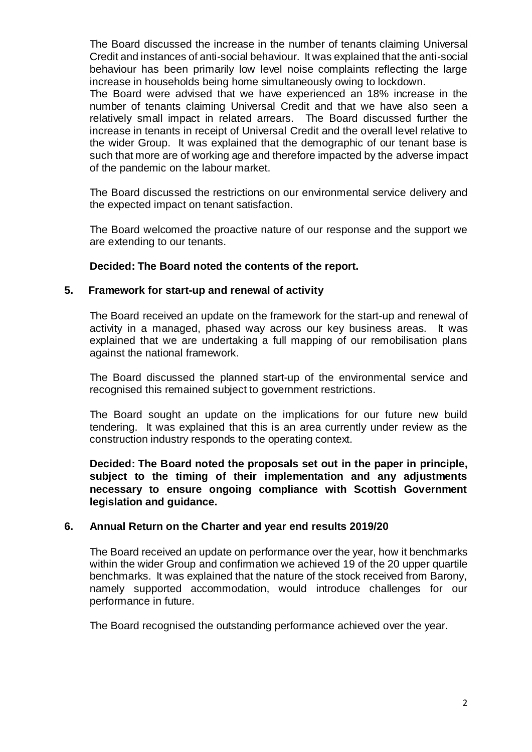The Board discussed the increase in the number of tenants claiming Universal Credit and instances of anti-social behaviour. It was explained that the anti-social behaviour has been primarily low level noise complaints reflecting the large increase in households being home simultaneously owing to lockdown.

The Board were advised that we have experienced an 18% increase in the number of tenants claiming Universal Credit and that we have also seen a relatively small impact in related arrears. The Board discussed further the increase in tenants in receipt of Universal Credit and the overall level relative to the wider Group. It was explained that the demographic of our tenant base is such that more are of working age and therefore impacted by the adverse impact of the pandemic on the labour market.

The Board discussed the restrictions on our environmental service delivery and the expected impact on tenant satisfaction.

The Board welcomed the proactive nature of our response and the support we are extending to our tenants.

#### **Decided: The Board noted the contents of the report.**

#### **5. Framework for start-up and renewal of activity**

The Board received an update on the framework for the start-up and renewal of activity in a managed, phased way across our key business areas. It was explained that we are undertaking a full mapping of our remobilisation plans against the national framework.

The Board discussed the planned start-up of the environmental service and recognised this remained subject to government restrictions.

The Board sought an update on the implications for our future new build tendering. It was explained that this is an area currently under review as the construction industry responds to the operating context.

**Decided: The Board noted the proposals set out in the paper in principle, subject to the timing of their implementation and any adjustments necessary to ensure ongoing compliance with Scottish Government legislation and guidance.**

#### **6. Annual Return on the Charter and year end results 2019/20**

The Board received an update on performance over the year, how it benchmarks within the wider Group and confirmation we achieved 19 of the 20 upper quartile benchmarks. It was explained that the nature of the stock received from Barony, namely supported accommodation, would introduce challenges for our performance in future.

The Board recognised the outstanding performance achieved over the year.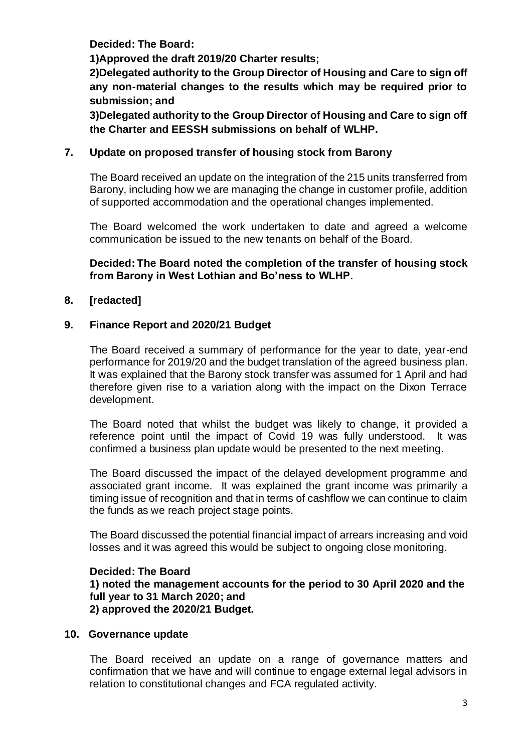**Decided: The Board:**

**1)Approved the draft 2019/20 Charter results;**

**2)Delegated authority to the Group Director of Housing and Care to sign off any non-material changes to the results which may be required prior to submission; and**

**3)Delegated authority to the Group Director of Housing and Care to sign off the Charter and EESSH submissions on behalf of WLHP.**

## **7. Update on proposed transfer of housing stock from Barony**

The Board received an update on the integration of the 215 units transferred from Barony, including how we are managing the change in customer profile, addition of supported accommodation and the operational changes implemented.

The Board welcomed the work undertaken to date and agreed a welcome communication be issued to the new tenants on behalf of the Board.

**Decided: The Board noted the completion of the transfer of housing stock from Barony in West Lothian and Bo'ness to WLHP.**

## **8. [redacted]**

## **9. Finance Report and 2020/21 Budget**

The Board received a summary of performance for the year to date, year-end performance for 2019/20 and the budget translation of the agreed business plan. It was explained that the Barony stock transfer was assumed for 1 April and had therefore given rise to a variation along with the impact on the Dixon Terrace development.

The Board noted that whilst the budget was likely to change, it provided a reference point until the impact of Covid 19 was fully understood. It was confirmed a business plan update would be presented to the next meeting.

The Board discussed the impact of the delayed development programme and associated grant income. It was explained the grant income was primarily a timing issue of recognition and that in terms of cashflow we can continue to claim the funds as we reach project stage points.

The Board discussed the potential financial impact of arrears increasing and void losses and it was agreed this would be subject to ongoing close monitoring.

#### **Decided: The Board**

**1) noted the management accounts for the period to 30 April 2020 and the full year to 31 March 2020; and** 

# **2) approved the 2020/21 Budget.**

#### **10. Governance update**

The Board received an update on a range of governance matters and confirmation that we have and will continue to engage external legal advisors in relation to constitutional changes and FCA regulated activity.